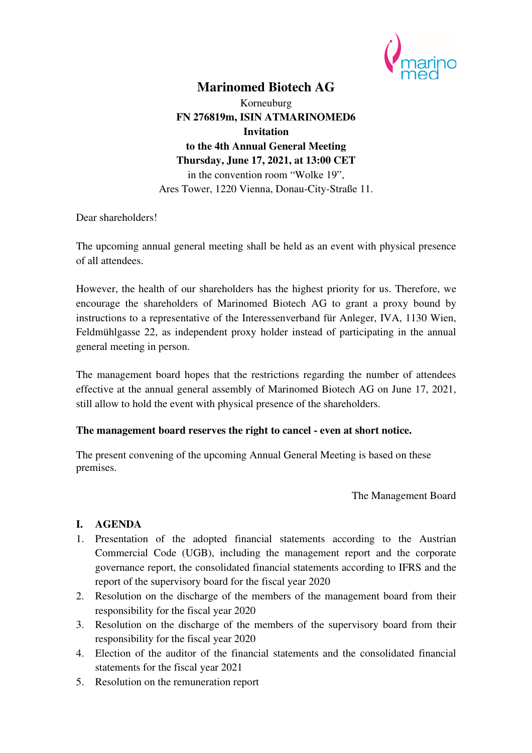

# **Marinomed Biotech AG**

Korneuburg **FN 276819m, ISIN ATMARINOMED6 Invitation to the 4th Annual General Meeting Thursday, June 17, 2021, at 13:00 CET**  in the convention room "Wolke 19", Ares Tower, 1220 Vienna, Donau-City-Straße 11.

Dear shareholders!

The upcoming annual general meeting shall be held as an event with physical presence of all attendees.

However, the health of our shareholders has the highest priority for us. Therefore, we encourage the shareholders of Marinomed Biotech AG to grant a proxy bound by instructions to a representative of the Interessenverband für Anleger, IVA, 1130 Wien, Feldmühlgasse 22, as independent proxy holder instead of participating in the annual general meeting in person.

The management board hopes that the restrictions regarding the number of attendees effective at the annual general assembly of Marinomed Biotech AG on June 17, 2021, still allow to hold the event with physical presence of the shareholders.

#### **The management board reserves the right to cancel - even at short notice.**

The present convening of the upcoming Annual General Meeting is based on these premises.

The Management Board

#### **I. AGENDA**

- 1. Presentation of the adopted financial statements according to the Austrian Commercial Code (UGB), including the management report and the corporate governance report, the consolidated financial statements according to IFRS and the report of the supervisory board for the fiscal year 2020
- 2. Resolution on the discharge of the members of the management board from their responsibility for the fiscal year 2020
- 3. Resolution on the discharge of the members of the supervisory board from their responsibility for the fiscal year 2020
- 4. Election of the auditor of the financial statements and the consolidated financial statements for the fiscal year 2021
- 5. Resolution on the remuneration report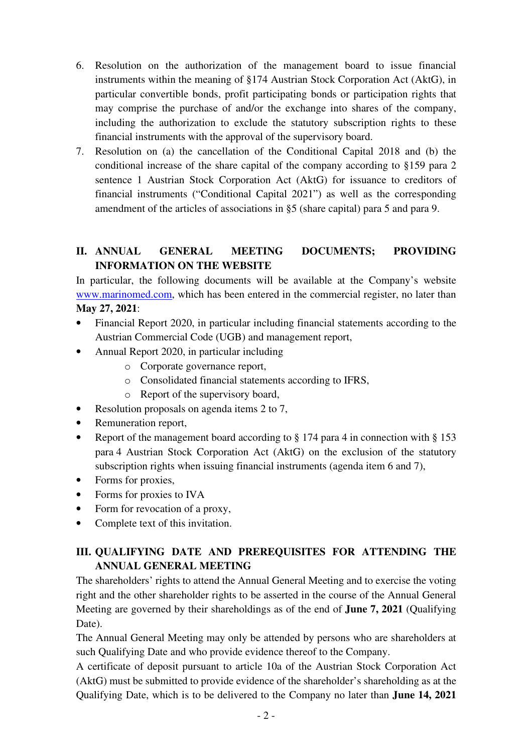- 6. Resolution on the authorization of the management board to issue financial instruments within the meaning of §174 Austrian Stock Corporation Act (AktG), in particular convertible bonds, profit participating bonds or participation rights that may comprise the purchase of and/or the exchange into shares of the company, including the authorization to exclude the statutory subscription rights to these financial instruments with the approval of the supervisory board.
- 7. Resolution on (a) the cancellation of the Conditional Capital 2018 and (b) the conditional increase of the share capital of the company according to §159 para 2 sentence 1 Austrian Stock Corporation Act (AktG) for issuance to creditors of financial instruments ("Conditional Capital 2021") as well as the corresponding amendment of the articles of associations in §5 (share capital) para 5 and para 9.

# **II. ANNUAL GENERAL MEETING DOCUMENTS; PROVIDING INFORMATION ON THE WEBSITE**

In particular, the following documents will be available at the Company's website www.marinomed.com, which has been entered in the commercial register, no later than **May 27, 2021**:

- Financial Report 2020, in particular including financial statements according to the Austrian Commercial Code (UGB) and management report,
- Annual Report 2020, in particular including
	- o Corporate governance report,
	- o Consolidated financial statements according to IFRS,
	- o Report of the supervisory board,
- Resolution proposals on agenda items 2 to 7,
- Remuneration report,
- Report of the management board according to § 174 para 4 in connection with § 153 para 4 Austrian Stock Corporation Act (AktG) on the exclusion of the statutory subscription rights when issuing financial instruments (agenda item 6 and 7),
- Forms for proxies,
- Forms for proxies to IVA
- Form for revocation of a proxy,
- Complete text of this invitation.

# **III. QUALIFYING DATE AND PREREQUISITES FOR ATTENDING THE ANNUAL GENERAL MEETING**

The shareholders' rights to attend the Annual General Meeting and to exercise the voting right and the other shareholder rights to be asserted in the course of the Annual General Meeting are governed by their shareholdings as of the end of **June 7, 2021** (Qualifying Date).

The Annual General Meeting may only be attended by persons who are shareholders at such Qualifying Date and who provide evidence thereof to the Company.

A certificate of deposit pursuant to article 10a of the Austrian Stock Corporation Act (AktG) must be submitted to provide evidence of the shareholder's shareholding as at the Qualifying Date, which is to be delivered to the Company no later than **June 14, 2021**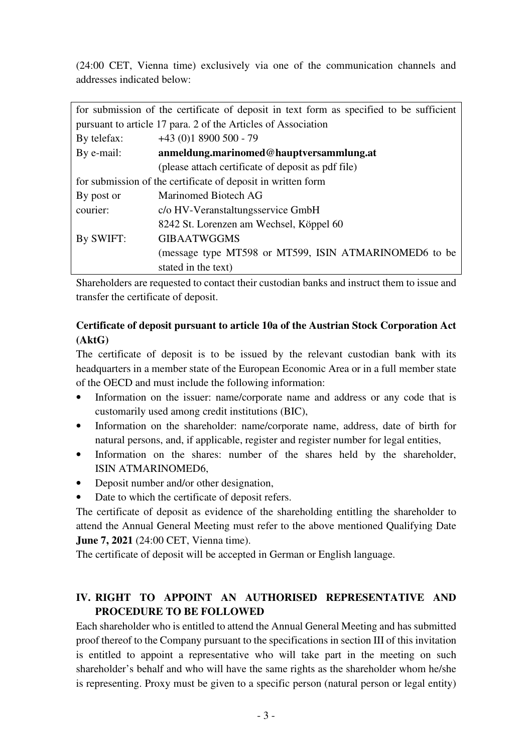(24:00 CET, Vienna time) exclusively via one of the communication channels and addresses indicated below:

|                                                               | for submission of the certificate of deposit in text form as specified to be sufficient |  |
|---------------------------------------------------------------|-----------------------------------------------------------------------------------------|--|
| pursuant to article 17 para. 2 of the Articles of Association |                                                                                         |  |
| By telefax:                                                   | $+43(0)18900500 - 79$                                                                   |  |
| By e-mail:                                                    | anmeldung.marinomed@hauptversammlung.at                                                 |  |
|                                                               | (please attach certificate of deposit as pdf file)                                      |  |
| for submission of the certificate of deposit in written form  |                                                                                         |  |
| By post or                                                    | Marinomed Biotech AG                                                                    |  |
| courier:                                                      | c/o HV-Veranstaltungsservice GmbH                                                       |  |
|                                                               | 8242 St. Lorenzen am Wechsel, Köppel 60                                                 |  |
| By SWIFT:                                                     | <b>GIBAATWGGMS</b>                                                                      |  |
|                                                               | (message type MT598 or MT599, ISIN ATMARINOMED6 to be                                   |  |
|                                                               | stated in the text)                                                                     |  |

Shareholders are requested to contact their custodian banks and instruct them to issue and transfer the certificate of deposit.

## **Certificate of deposit pursuant to article 10a of the Austrian Stock Corporation Act (AktG)**

The certificate of deposit is to be issued by the relevant custodian bank with its headquarters in a member state of the European Economic Area or in a full member state of the OECD and must include the following information:

- Information on the issuer: name/corporate name and address or any code that is customarily used among credit institutions (BIC),
- Information on the shareholder: name/corporate name, address, date of birth for natural persons, and, if applicable, register and register number for legal entities,
- Information on the shares: number of the shares held by the shareholder, ISIN ATMARINOMED6,
- Deposit number and/or other designation,
- Date to which the certificate of deposit refers.

The certificate of deposit as evidence of the shareholding entitling the shareholder to attend the Annual General Meeting must refer to the above mentioned Qualifying Date **June 7, 2021** (24:00 CET, Vienna time).

The certificate of deposit will be accepted in German or English language.

# **IV. RIGHT TO APPOINT AN AUTHORISED REPRESENTATIVE AND PROCEDURE TO BE FOLLOWED**

Each shareholder who is entitled to attend the Annual General Meeting and has submitted proof thereof to the Company pursuant to the specifications in section III of this invitation is entitled to appoint a representative who will take part in the meeting on such shareholder's behalf and who will have the same rights as the shareholder whom he/she is representing. Proxy must be given to a specific person (natural person or legal entity)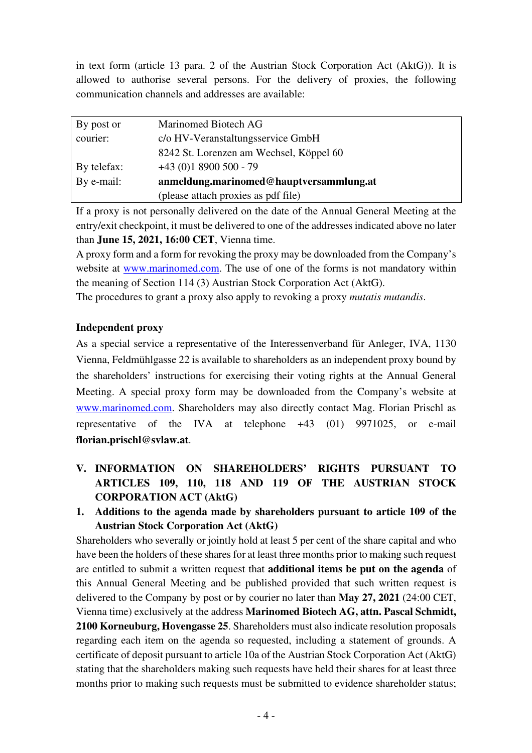in text form (article 13 para. 2 of the Austrian Stock Corporation Act (AktG)). It is allowed to authorise several persons. For the delivery of proxies, the following communication channels and addresses are available:

| By post or  | Marinomed Biotech AG                    |
|-------------|-----------------------------------------|
| courier:    | c/o HV-Veranstaltungsservice GmbH       |
|             | 8242 St. Lorenzen am Wechsel, Köppel 60 |
| By telefax: | $+43(0)18900500 - 79$                   |
| By e-mail:  | anmeldung.marinomed@hauptversammlung.at |
|             | (please attach proxies as pdf file)     |

If a proxy is not personally delivered on the date of the Annual General Meeting at the entry/exit checkpoint, it must be delivered to one of the addresses indicated above no later than **June 15, 2021, 16:00 CET**, Vienna time.

A proxy form and a form for revoking the proxy may be downloaded from the Company's website at www.marinomed.com. The use of one of the forms is not mandatory within the meaning of Section 114 (3) Austrian Stock Corporation Act (AktG).

The procedures to grant a proxy also apply to revoking a proxy *mutatis mutandis*.

### **Independent proxy**

As a special service a representative of the Interessenverband für Anleger, IVA, 1130 Vienna, Feldmühlgasse 22 is available to shareholders as an independent proxy bound by the shareholders' instructions for exercising their voting rights at the Annual General Meeting. A special proxy form may be downloaded from the Company's website at www.marinomed.com. Shareholders may also directly contact Mag. Florian Prischl as representative of the IVA at telephone +43 (01) 9971025, or e-mail **florian.prischl@svlaw.at**.

- **V. INFORMATION ON SHAREHOLDERS' RIGHTS PURSUANT TO ARTICLES 109, 110, 118 AND 119 OF THE AUSTRIAN STOCK CORPORATION ACT (AktG)**
- **1. Additions to the agenda made by shareholders pursuant to article 109 of the Austrian Stock Corporation Act (AktG)**

Shareholders who severally or jointly hold at least 5 per cent of the share capital and who have been the holders of these shares for at least three months prior to making such request are entitled to submit a written request that **additional items be put on the agenda** of this Annual General Meeting and be published provided that such written request is delivered to the Company by post or by courier no later than **May 27, 2021** (24:00 CET, Vienna time) exclusively at the address **Marinomed Biotech AG, attn. Pascal Schmidt, 2100 Korneuburg, Hovengasse 25**. Shareholders must also indicate resolution proposals regarding each item on the agenda so requested, including a statement of grounds. A certificate of deposit pursuant to article 10a of the Austrian Stock Corporation Act (AktG) stating that the shareholders making such requests have held their shares for at least three months prior to making such requests must be submitted to evidence shareholder status;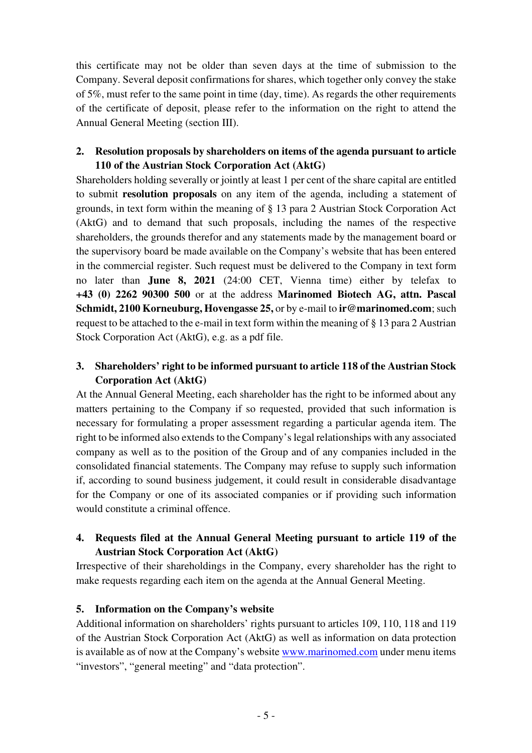this certificate may not be older than seven days at the time of submission to the Company. Several deposit confirmations for shares, which together only convey the stake of 5%, must refer to the same point in time (day, time). As regards the other requirements of the certificate of deposit, please refer to the information on the right to attend the Annual General Meeting (section III).

### **2. Resolution proposals by shareholders on items of the agenda pursuant to article 110 of the Austrian Stock Corporation Act (AktG)**

Shareholders holding severally or jointly at least 1 per cent of the share capital are entitled to submit **resolution proposals** on any item of the agenda, including a statement of grounds, in text form within the meaning of § 13 para 2 Austrian Stock Corporation Act (AktG) and to demand that such proposals, including the names of the respective shareholders, the grounds therefor and any statements made by the management board or the supervisory board be made available on the Company's website that has been entered in the commercial register. Such request must be delivered to the Company in text form no later than **June 8, 2021** (24:00 CET, Vienna time) either by telefax to **+43 (0) 2262 90300 500** or at the address **Marinomed Biotech AG, attn. Pascal Schmidt, 2100 Korneuburg, Hovengasse 25, or by e-mail to ir@marinomed.com**; such request to be attached to the e-mail in text form within the meaning of § 13 para 2 Austrian Stock Corporation Act (AktG), e.g. as a pdf file.

# **3. Shareholders' right to be informed pursuant to article 118 of the Austrian Stock Corporation Act (AktG)**

At the Annual General Meeting, each shareholder has the right to be informed about any matters pertaining to the Company if so requested, provided that such information is necessary for formulating a proper assessment regarding a particular agenda item. The right to be informed also extends to the Company's legal relationships with any associated company as well as to the position of the Group and of any companies included in the consolidated financial statements. The Company may refuse to supply such information if, according to sound business judgement, it could result in considerable disadvantage for the Company or one of its associated companies or if providing such information would constitute a criminal offence.

# **4. Requests filed at the Annual General Meeting pursuant to article 119 of the Austrian Stock Corporation Act (AktG)**

Irrespective of their shareholdings in the Company, every shareholder has the right to make requests regarding each item on the agenda at the Annual General Meeting.

### **5. Information on the Company's website**

Additional information on shareholders' rights pursuant to articles 109, 110, 118 and 119 of the Austrian Stock Corporation Act (AktG) as well as information on data protection is available as of now at the Company's website www.marinomed.com under menu items "investors", "general meeting" and "data protection".